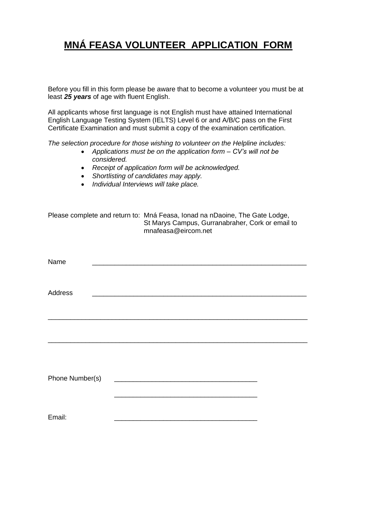## **MNÁ FEASA VOLUNTEER APPLICATION FORM**

Before you fill in this form please be aware that to become a volunteer you must be at least *25 years* of age with fluent English.

All applicants whose first language is not English must have attained International English Language Testing System (IELTS) Level 6 or and A/B/C pass on the First Certificate Examination and must submit a copy of the examination certification.

*The selection procedure for those wishing to volunteer on the Helpline includes:*

- *Applications must be on the application form – CV's will not be considered.*
- *Receipt of application form will be acknowledged.*
- *Shortlisting of candidates may apply.*
- *Individual Interviews will take place.*

|                 | Please complete and return to: Mná Feasa, Ionad na nDaoine, The Gate Lodge,<br>St Marys Campus, Gurranabraher, Cork or email to<br>mnafeasa@eircom.net |  |
|-----------------|--------------------------------------------------------------------------------------------------------------------------------------------------------|--|
| Name            |                                                                                                                                                        |  |
| Address         |                                                                                                                                                        |  |
|                 |                                                                                                                                                        |  |
|                 |                                                                                                                                                        |  |
|                 |                                                                                                                                                        |  |
| Phone Number(s) |                                                                                                                                                        |  |
|                 |                                                                                                                                                        |  |
| Email:          |                                                                                                                                                        |  |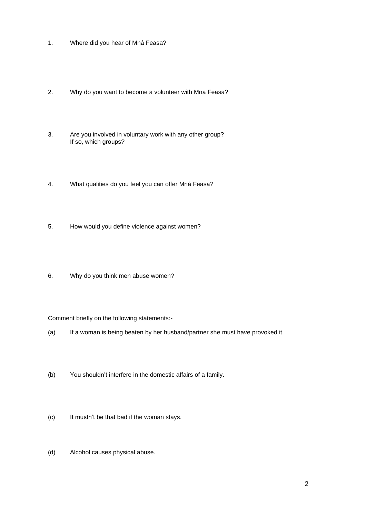- 1. Where did you hear of Mná Feasa?
- 2. Why do you want to become a volunteer with Mna Feasa?
- 3. Are you involved in voluntary work with any other group? If so, which groups?
- 4. What qualities do you feel you can offer Mná Feasa?
- 5. How would you define violence against women?
- 6. Why do you think men abuse women?

## Comment briefly on the following statements:-

- (a) If a woman is being beaten by her husband/partner she must have provoked it.
- (b) You shouldn't interfere in the domestic affairs of a family.
- (c) It mustn't be that bad if the woman stays.
- (d) Alcohol causes physical abuse.